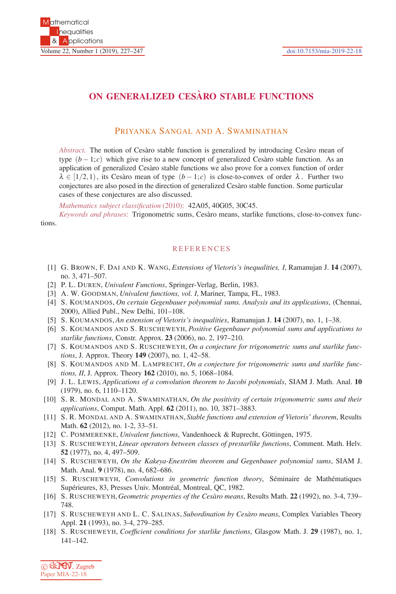## **ON GENERALIZED CESARO STABLE FUNCTIONS `**

## PRIYANKA SANGAL AND A. SWAMINATHAN

*Abstract.* The notion of Cesàro stable function is generalized by introducing Cesàro mean of type  $(b-1;c)$  which give rise to a new concept of generalized Cesaro stable function. As an application of generalized Cesàro stable functions we also prove for a convex function of order  $\lambda \in [1/2,1)$ , its Cesàro mean of type  $(b-1;c)$  is close-to-convex of order  $\lambda$ . Further two conjectures are also posed in the direction of generalized Cesàro stable function. Some particular cases of these conjectures are also discussed.

*Mathematics subject classification* (2010): 42A05, 40G05, 30C45.

*Keywords and phrases*: Trigonometric sums, Cesàro means, starlike functions, close-to-convex functions.

## **REFERENCES**

- [1] G. BROWN, F. DAI AND K. WANG, *Extensions of Vietoris's inequalities, I*, Ramanujan J. **14** (2007), no. 3, 471–507.
- [2] P. L. DUREN, *Univalent Functions*, Springer-Verlag, Berlin, 1983.
- [3] A. W. GOODMAN, *Univalent functions, vol. I*, Mariner, Tampa, FL, 1983.
- [4] S. KOUMANDOS, *On certain Gegenbauer polynomial sums. Analysis and its applications*, (Chennai, 2000), Allied Publ., New Delhi, 101–108.
- [5] S. KOUMANDOS, *An extension of Vietoris's inequalities*, Ramanujan J. **14** (2007), no. 1, 1–38.
- [6] S. KOUMANDOS AND S. RUSCHEWEYH, *Positive Gegenbauer polynomial sums and applications to starlike functions*, Constr. Approx. **23** (2006), no. 2, 197–210.
- [7] S. KOUMANDOS AND S. RUSCHEWEYH, *On a conjecture for trigonometric sums and starlike functions*, J. Approx. Theory **149** (2007), no. 1, 42–58.
- [8] S. KOUMANDOS AND M. LAMPRECHT, *On a conjecture for trigonometric sums and starlike functions, II*, J. Approx. Theory **162** (2010), no. 5, 1068–1084.
- [9] J. L. LEWIS, *Applications of a convolution theorem to Jacobi polynomials*, SIAM J. Math. Anal. **10** (1979), no. 6, 1110–1120.
- [10] S. R. MONDAL AND A. SWAMINATHAN, *On the positivity of certain trigonometric sums and their applications*, Comput. Math. Appl. **62** (2011), no. 10, 3871–3883.
- [11] S. R. MONDAL AND A. SWAMINATHAN, *Stable functions and extension of Vietoris' theorem*, Results Math. **62** (2012), no. 1-2, 33–51.
- [12] C. POMMERENKE, *Univalent functions*, Vandenhoeck & Ruprecht, Göttingen, 1975.
- [13] S. RUSCHEWEYH, *Linear operators between classes of prestarlike functions*, Comment. Math. Helv. **52** (1977), no. 4, 497–509.
- [14] S. RUSCHEWEYH, *On the Kakeya-Eneström theorem and Gegenbauer polynomial sums*, SIAM J. Math. Anal. **9** (1978), no. 4, 682–686.
- [15] S. RUSCHEWEYH, *Convolutions in geometric function theory*, Séminaire de Mathématiques Supérieures, 83, Presses Univ. Montréal, Montreal, QC, 1982.
- [16] S. RUSCHEWEYH, *Geometric properties of the Ces`aro means*, Results Math. **22** (1992), no. 3-4, 739– 748.
- [17] S. RUSCHEWEYH AND L. C. SALINAS, *Subordination by Cesàro means*, Complex Variables Theory Appl. **21** (1993), no. 3-4, 279–285.
- [18] S. RUSCHEWEYH, *Coefficient conditions for starlike functions*, Glasgow Math. J. **29** (1987), no. 1, 141–142.